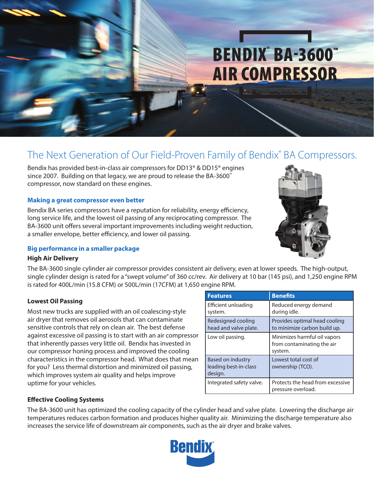# BENDIX<sup>®</sup> BA-3600™ AIR COMPRESSOR

# The Next Generation of Our Field-Proven Family of Bendix® BA Compressors.

Bendix has provided best-in-class air compressors for DD13® & DD15® engines since 2007. Building on that legacy, we are proud to release the BA-3600™ compressor, now standard on these engines.

## **Making a great compressor even better**

Bendix BA series compressors have a reputation for reliability, energy efficiency, long service life, and the lowest oil passing of any reciprocating compressor. The BA-3600 unit offers several important improvements including weight reduction, a smaller envelope, better efficiency, and lower oil passing.

## **Big performance in a smaller package**

## **High Air Delivery**

The BA-3600 single cylinder air compressor provides consistent air delivery, even at lower speeds. The high-output, single cylinder design is rated for a "swept volume" of 360 cc/rev. Air delivery at 10 bar (145 psi), and 1,250 engine RPM is rated for 400L/min (15.8 CFM) or 500L/min (17CFM) at 1,650 engine RPM.

## **Lowest Oil Passing**

Most new trucks are supplied with an oil coalescing-style air dryer that removes oil aerosols that can contaminate sensitive controls that rely on clean air. The best defense against excessive oil passing is to start with an air compressor that inherently passes very little oil. Bendix has invested in our compressor honing process and improved the cooling characteristics in the compressor head. What does that mean for you? Less thermal distortion and minimized oil passing, which improves system air quality and helps improve uptime for your vehicles.

| <b>Features</b>                                       | <b>Benefits</b>                                                       |
|-------------------------------------------------------|-----------------------------------------------------------------------|
| Efficient unloading<br>system.                        | Reduced energy demand<br>during idle.                                 |
| Redesigned cooling<br>head and valve plate.           | Provides optimal head cooling<br>to minimize carbon build up.         |
| Low oil passing.                                      | Minimizes harmful oil vapors<br>from contaminating the air<br>system. |
| Based on industry<br>leading best-in-class<br>design. | Lowest total cost of<br>ownership (TCO).                              |
| Integrated safety valve.                              | Protects the head from excessive<br>pressure overload.                |

# **Effective Cooling Systems**

The BA-3600 unit has optimized the cooling capacity of the cylinder head and valve plate. Lowering the discharge air temperatures reduces carbon formation and produces higher quality air. Minimizing the discharge temperature also increases the service life of downstream air components, such as the air dryer and brake valves.